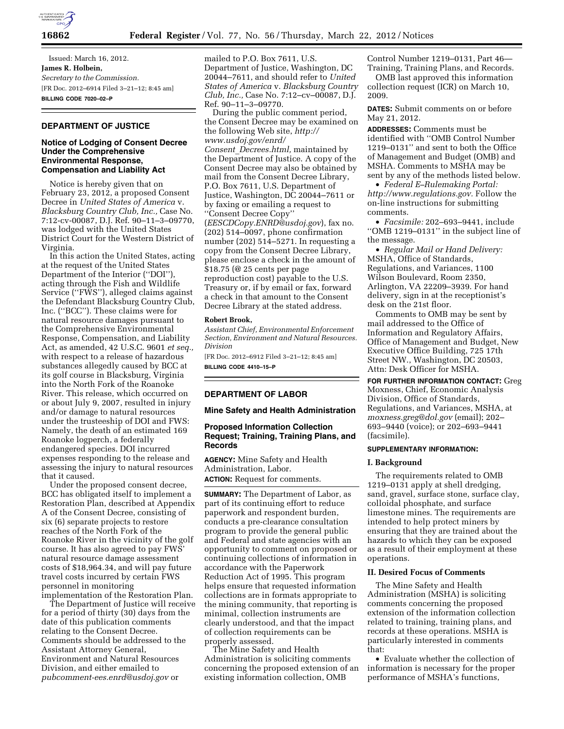

Issued: March 16, 2012. **James R. Holbein,**  *Secretary to the Commission.*  [FR Doc. 2012–6914 Filed 3–21–12; 8:45 am] **BILLING CODE 7020–02–P** 

# **DEPARTMENT OF JUSTICE**

### **Notice of Lodging of Consent Decree Under the Comprehensive Environmental Response, Compensation and Liability Act**

Notice is hereby given that on February 23, 2012, a proposed Consent Decree in *United States of America* v. *Blacksburg Country Club, Inc.,* Case No. 7:12-cv-00087, D.J. Ref. 90–11–3–09770, was lodged with the United States District Court for the Western District of Virginia.

In this action the United States, acting at the request of the United States Department of the Interior (''DOI''), acting through the Fish and Wildlife Service (''FWS''), alleged claims against the Defendant Blacksburg Country Club, Inc. (''BCC''). These claims were for natural resource damages pursuant to the Comprehensive Environmental Response, Compensation, and Liability Act, as amended, 42 U.S.C. 9601 *et seq.,*  with respect to a release of hazardous substances allegedly caused by BCC at its golf course in Blacksburg, Virginia into the North Fork of the Roanoke River. This release, which occurred on or about July 9, 2007, resulted in injury and/or damage to natural resources under the trusteeship of DOI and FWS: Namely, the death of an estimated 169 Roanoke logperch, a federally endangered species. DOI incurred expenses responding to the release and assessing the injury to natural resources that it caused.

Under the proposed consent decree, BCC has obligated itself to implement a Restoration Plan, described at Appendix A of the Consent Decree, consisting of six (6) separate projects to restore reaches of the North Fork of the Roanoke River in the vicinity of the golf course. It has also agreed to pay FWS' natural resource damage assessment costs of \$18,964.34, and will pay future travel costs incurred by certain FWS personnel in monitoring implementation of the Restoration Plan.

The Department of Justice will receive for a period of thirty (30) days from the date of this publication comments relating to the Consent Decree. Comments should be addressed to the Assistant Attorney General, Environment and Natural Resources Division, and either emailed to *[pubcomment-ees.enrd@usdoj.gov](mailto:pubcomment-ees.enrd@usdoj.gov)* or

mailed to P.O. Box 7611, U.S. Department of Justice, Washington, DC 20044–7611, and should refer to *United States of America* v. *Blacksburg Country Club, Inc.,* Case No. 7:12–cv–00087, D.J. Ref. 90–11–3–09770.

During the public comment period, the Consent Decree may be examined on the following Web site, *[http://](http://www.usdoj.gov/enrd/Consent_Decrees.html) [www.usdoj.gov/enrd/](http://www.usdoj.gov/enrd/Consent_Decrees.html) Consent*\_*[Decrees.html,](http://www.usdoj.gov/enrd/Consent_Decrees.html)* maintained by the Department of Justice. A copy of the Consent Decree may also be obtained by mail from the Consent Decree Library, P.O. Box 7611, U.S. Department of Justice, Washington, DC 20044–7611 or by faxing or emailing a request to ''Consent Decree Copy'' (*[EESCDCopy.ENRD@usdoj.gov](mailto:EESCDCopy.ENRD@usdoj.gov)*), fax no. (202) 514–0097, phone confirmation number (202) 514–5271. In requesting a copy from the Consent Decree Library, please enclose a check in the amount of \$18.75 (@ 25 cents per page reproduction cost) payable to the U.S. Treasury or, if by email or fax, forward

Decree Library at the stated address. **Robert Brook,** 

*Assistant Chief, Environmental Enforcement Section, Environment and Natural Resources. Division* 

a check in that amount to the Consent

[FR Doc. 2012–6912 Filed 3–21–12; 8:45 am] **BILLING CODE 4410–15–P** 

# **DEPARTMENT OF LABOR**

**Mine Safety and Health Administration** 

## **Proposed Information Collection Request; Training, Training Plans, and Records**

**AGENCY:** Mine Safety and Health Administration, Labor. **ACTION:** Request for comments.

**SUMMARY:** The Department of Labor, as part of its continuing effort to reduce paperwork and respondent burden, conducts a pre-clearance consultation program to provide the general public and Federal and state agencies with an opportunity to comment on proposed or continuing collections of information in accordance with the Paperwork Reduction Act of 1995. This program helps ensure that requested information collections are in formats appropriate to the mining community, that reporting is minimal, collection instruments are clearly understood, and that the impact of collection requirements can be properly assessed.

The Mine Safety and Health Administration is soliciting comments concerning the proposed extension of an existing information collection, OMB

Control Number 1219–0131, Part 46— Training, Training Plans, and Records.

OMB last approved this information collection request (ICR) on March 10, 2009.

**DATES:** Submit comments on or before May 21, 2012.

**ADDRESSES:** Comments must be identified with ''OMB Control Number 1219–0131'' and sent to both the Office of Management and Budget (OMB) and MSHA. Comments to MSHA may be sent by any of the methods listed below.

• *Federal E–Rulemaking Portal: [http://www.regulations.gov.](http://www.regulations.gov)* Follow the on-line instructions for submitting comments.

• *Facsimile:* 202–693–9441, include ''OMB 1219–0131'' in the subject line of the message.

• *Regular Mail or Hand Delivery:*  MSHA, Office of Standards, Regulations, and Variances, 1100 Wilson Boulevard, Room 2350, Arlington, VA 22209–3939. For hand delivery, sign in at the receptionist's desk on the 21st floor.

Comments to OMB may be sent by mail addressed to the Office of Information and Regulatory Affairs, Office of Management and Budget, New Executive Office Building, 725 17th Street NW., Washington, DC 20503, Attn: Desk Officer for MSHA.

**FOR FURTHER INFORMATION CONTACT:** Greg Moxness, Chief, Economic Analysis Division, Office of Standards, Regulations, and Variances, MSHA, at *[moxness.greg@dol.gov](mailto:moxness.greg@dol.gov)* (email); 202– 693–9440 (voice); or 202–693–9441 (facsimile).

### **SUPPLEMENTARY INFORMATION:**

#### **I. Background**

The requirements related to OMB 1219–0131 apply at shell dredging, sand, gravel, surface stone, surface clay, colloidal phosphate, and surface limestone mines. The requirements are intended to help protect miners by ensuring that they are trained about the hazards to which they can be exposed as a result of their employment at these operations.

### **II. Desired Focus of Comments**

The Mine Safety and Health Administration (MSHA) is soliciting comments concerning the proposed extension of the information collection related to training, training plans, and records at these operations. MSHA is particularly interested in comments that:

• Evaluate whether the collection of information is necessary for the proper performance of MSHA's functions,